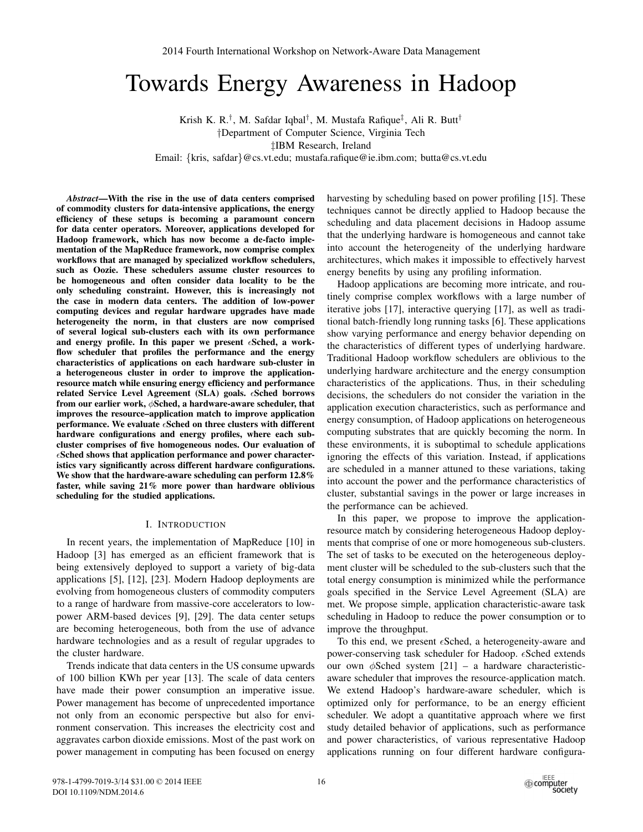# Towards Energy Awareness in Hadoop

Krish K. R.<sup>†</sup>, M. Safdar Iqbal<sup>†</sup>, M. Mustafa Rafique<sup>‡</sup>, Ali R. Butt<sup>†</sup> †Department of Computer Science, Virginia Tech ‡IBM Research, Ireland

Email: {kris, safdar}@cs.vt.edu; mustafa.rafique@ie.ibm.com; butta@cs.vt.edu

*Abstract*—With the rise in the use of data centers comprised of commodity clusters for data-intensive applications, the energy efficiency of these setups is becoming a paramount concern for data center operators. Moreover, applications developed for Hadoop framework, which has now become a de-facto implementation of the MapReduce framework, now comprise complex workflows that are managed by specialized workflow schedulers, such as Oozie. These schedulers assume cluster resources to be homogeneous and often consider data locality to be the only scheduling constraint. However, this is increasingly not the case in modern data centers. The addition of low-power computing devices and regular hardware upgrades have made heterogeneity the norm, in that clusters are now comprised of several logical sub-clusters each with its own performance and energy profile. In this paper we present  $\epsilon$ Sched, a workflow scheduler that profiles the performance and the energy characteristics of applications on each hardware sub-cluster in a heterogeneous cluster in order to improve the applicationresource match while ensuring energy efficiency and performance related Service Level Agreement (SLA) goals.  $\epsilon$ Sched borrows from our earlier work, φSched, a hardware-aware scheduler, that improves the resource–application match to improve application performance. We evaluate  $\epsilon$ Sched on three clusters with different hardware configurations and energy profiles, where each subcluster comprises of five homogeneous nodes. Our evaluation of  $\epsilon$ Sched shows that application performance and power characteristics vary significantly across different hardware configurations. We show that the hardware-aware scheduling can perform 12.8% faster, while saving 21% more power than hardware oblivious scheduling for the studied applications.

# I. INTRODUCTION

In recent years, the implementation of MapReduce [10] in Hadoop [3] has emerged as an efficient framework that is being extensively deployed to support a variety of big-data applications [5], [12], [23]. Modern Hadoop deployments are evolving from homogeneous clusters of commodity computers to a range of hardware from massive-core accelerators to lowpower ARM-based devices [9], [29]. The data center setups are becoming heterogeneous, both from the use of advance hardware technologies and as a result of regular upgrades to the cluster hardware.

Trends indicate that data centers in the US consume upwards of 100 billion KWh per year [13]. The scale of data centers have made their power consumption an imperative issue. Power management has become of unprecedented importance not only from an economic perspective but also for environment conservation. This increases the electricity cost and aggravates carbon dioxide emissions. Most of the past work on power management in computing has been focused on energy harvesting by scheduling based on power profiling [15]. These techniques cannot be directly applied to Hadoop because the scheduling and data placement decisions in Hadoop assume that the underlying hardware is homogeneous and cannot take into account the heterogeneity of the underlying hardware architectures, which makes it impossible to effectively harvest energy benefits by using any profiling information.

Hadoop applications are becoming more intricate, and routinely comprise complex workflows with a large number of iterative jobs [17], interactive querying [17], as well as traditional batch-friendly long running tasks [6]. These applications show varying performance and energy behavior depending on the characteristics of different types of underlying hardware. Traditional Hadoop workflow schedulers are oblivious to the underlying hardware architecture and the energy consumption characteristics of the applications. Thus, in their scheduling decisions, the schedulers do not consider the variation in the application execution characteristics, such as performance and energy consumption, of Hadoop applications on heterogeneous computing substrates that are quickly becoming the norm. In these environments, it is suboptimal to schedule applications ignoring the effects of this variation. Instead, if applications are scheduled in a manner attuned to these variations, taking into account the power and the performance characteristics of cluster, substantial savings in the power or large increases in the performance can be achieved.

In this paper, we propose to improve the applicationresource match by considering heterogeneous Hadoop deployments that comprise of one or more homogeneous sub-clusters. The set of tasks to be executed on the heterogeneous deployment cluster will be scheduled to the sub-clusters such that the total energy consumption is minimized while the performance goals specified in the Service Level Agreement (SLA) are met. We propose simple, application characteristic-aware task scheduling in Hadoop to reduce the power consumption or to improve the throughput.

To this end, we present  $\epsilon$ Sched, a heterogeneity-aware and power-conserving task scheduler for Hadoop.  $\epsilon$ Sched extends our own  $\phi$ Sched system [21] – a hardware characteristicaware scheduler that improves the resource-application match. We extend Hadoop's hardware-aware scheduler, which is optimized only for performance, to be an energy efficient scheduler. We adopt a quantitative approach where we first study detailed behavior of applications, such as performance and power characteristics, of various representative Hadoop applications running on four different hardware configura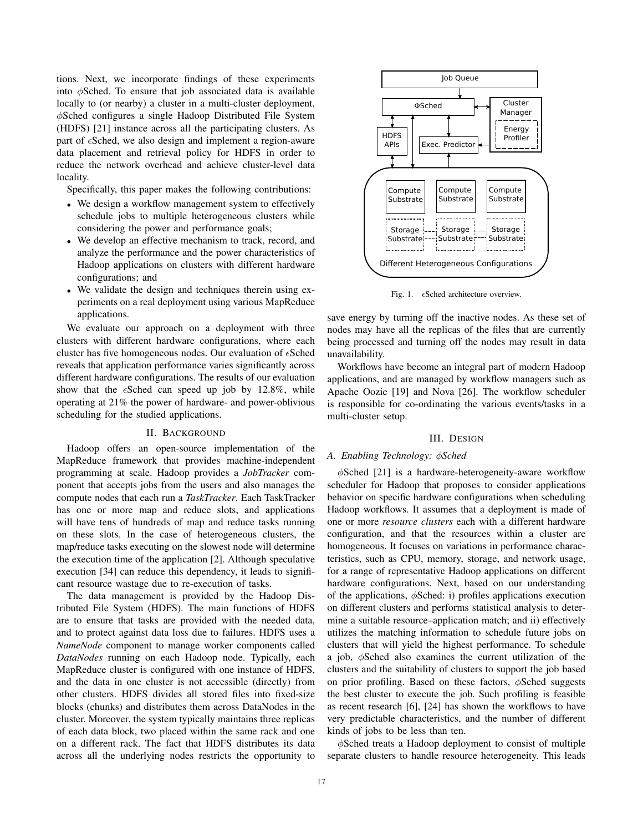tions. Next, we incorporate findings of these experiments into φSched. To ensure that job associated data is available locally to (or nearby) a cluster in a multi-cluster deployment, φSched configures a single Hadoop Distributed File System (HDFS) [21] instance across all the participating clusters. As part of  $\epsilon$ Sched, we also design and implement a region-aware data placement and retrieval policy for HDFS in order to reduce the network overhead and achieve cluster-level data locality.

Specifically, this paper makes the following contributions:

- We design a workflow management system to effectively schedule jobs to multiple heterogeneous clusters while considering the power and performance goals;
- We develop an effective mechanism to track, record, and analyze the performance and the power characteristics of Hadoop applications on clusters with different hardware configurations; and
- We validate the design and techniques therein using experiments on a real deployment using various MapReduce applications.

We evaluate our approach on a deployment with three clusters with different hardware configurations, where each cluster has five homogeneous nodes. Our evaluation of  $\epsilon$ Sched reveals that application performance varies significantly across different hardware configurations. The results of our evaluation show that the  $\epsilon$ Sched can speed up job by 12.8%, while operating at 21% the power of hardware- and power-oblivious scheduling for the studied applications.

# II. BACKGROUND

Hadoop offers an open-source implementation of the MapReduce framework that provides machine-independent programming at scale. Hadoop provides a *JobTracker* component that accepts jobs from the users and also manages the compute nodes that each run a *TaskTracker*. Each TaskTracker has one or more map and reduce slots, and applications will have tens of hundreds of map and reduce tasks running on these slots. In the case of heterogeneous clusters, the map/reduce tasks executing on the slowest node will determine the execution time of the application [2]. Although speculative execution [34] can reduce this dependency, it leads to significant resource wastage due to re-execution of tasks.

The data management is provided by the Hadoop Distributed File System (HDFS). The main functions of HDFS are to ensure that tasks are provided with the needed data, and to protect against data loss due to failures. HDFS uses a *NameNode* component to manage worker components called *DataNodes* running on each Hadoop node. Typically, each MapReduce cluster is configured with one instance of HDFS, and the data in one cluster is not accessible (directly) from other clusters. HDFS divides all stored files into fixed-size blocks (chunks) and distributes them across DataNodes in the cluster. Moreover, the system typically maintains three replicas of each data block, two placed within the same rack and one on a different rack. The fact that HDFS distributes its data across all the underlying nodes restricts the opportunity to



Fig. 1.  $\epsilon$ Sched architecture overview.

save energy by turning off the inactive nodes. As these set of nodes may have all the replicas of the files that are currently being processed and turning off the nodes may result in data unavailability.

Workflows have become an integral part of modern Hadoop applications, and are managed by workflow managers such as Apache Oozie [19] and Nova [26]. The workflow scheduler is responsible for co-ordinating the various events/tasks in a multi-cluster setup.

#### III. DESIGN

# *A. Enabling Technology:* φ*Sched*

φSched [21] is a hardware-heterogeneity-aware workflow scheduler for Hadoop that proposes to consider applications behavior on specific hardware configurations when scheduling Hadoop workflows. It assumes that a deployment is made of one or more *resource clusters* each with a different hardware configuration, and that the resources within a cluster are homogeneous. It focuses on variations in performance characteristics, such as CPU, memory, storage, and network usage, for a range of representative Hadoop applications on different hardware configurations. Next, based on our understanding of the applications,  $\phi$ Sched: i) profiles applications execution on different clusters and performs statistical analysis to determine a suitable resource–application match; and ii) effectively utilizes the matching information to schedule future jobs on clusters that will yield the highest performance. To schedule a job, φSched also examines the current utilization of the clusters and the suitability of clusters to support the job based on prior profiling. Based on these factors,  $\phi$ Sched suggests the best cluster to execute the job. Such profiling is feasible as recent research [6], [24] has shown the workflows to have very predictable characteristics, and the number of different kinds of jobs to be less than ten.

 $\phi$ Sched treats a Hadoop deployment to consist of multiple separate clusters to handle resource heterogeneity. This leads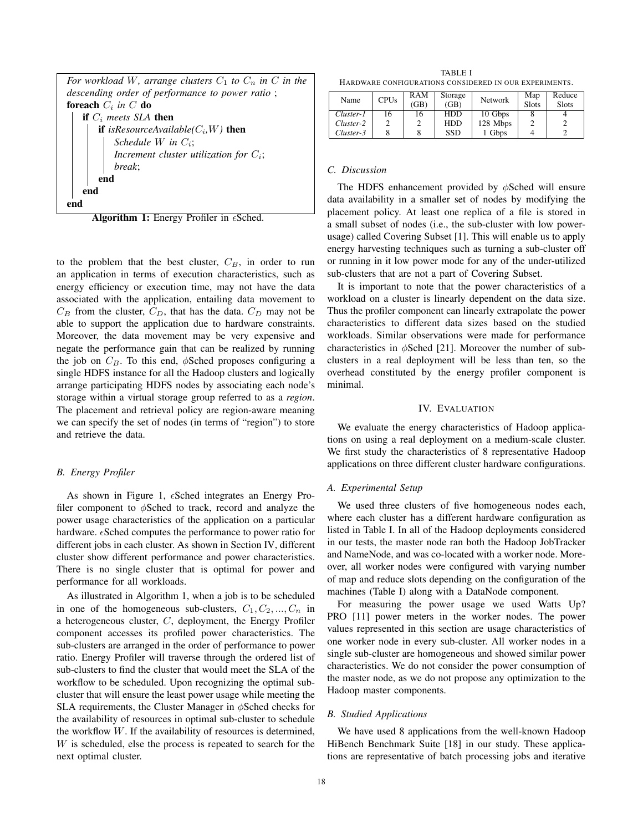| For workload W, arrange clusters $C_1$ to $C_n$ in C in the |  |  |  |  |  |
|-------------------------------------------------------------|--|--|--|--|--|
| descending order of performance to power ratio;             |  |  |  |  |  |
| foreach $C_i$ in C do                                       |  |  |  |  |  |
| if $C_i$ meets SLA then                                     |  |  |  |  |  |
| if isResourceAvailable( $C_i$ , W) then                     |  |  |  |  |  |
| Schedule W in $C_i$ ;                                       |  |  |  |  |  |
| Increment cluster utilization for $C_i$ ;                   |  |  |  |  |  |
| break:                                                      |  |  |  |  |  |
| end                                                         |  |  |  |  |  |
| end                                                         |  |  |  |  |  |
|                                                             |  |  |  |  |  |

Algorithm 1: Energy Profiler in  $\epsilon$ Sched.

to the problem that the best cluster,  $C_B$ , in order to run an application in terms of execution characteristics, such as energy efficiency or execution time, may not have the data associated with the application, entailing data movement to  $C_B$  from the cluster,  $C_D$ , that has the data.  $C_D$  may not be able to support the application due to hardware constraints. Moreover, the data movement may be very expensive and negate the performance gain that can be realized by running the job on  $C_B$ . To this end,  $\phi$ Sched proposes configuring a single HDFS instance for all the Hadoop clusters and logically arrange participating HDFS nodes by associating each node's storage within a virtual storage group referred to as a *region*. The placement and retrieval policy are region-aware meaning we can specify the set of nodes (in terms of "region") to store and retrieve the data.

# *B. Energy Profiler*

As shown in Figure 1,  $\epsilon$ Sched integrates an Energy Profiler component to φSched to track, record and analyze the power usage characteristics of the application on a particular hardware.  $\epsilon$ Sched computes the performance to power ratio for different jobs in each cluster. As shown in Section IV, different cluster show different performance and power characteristics. There is no single cluster that is optimal for power and performance for all workloads.

As illustrated in Algorithm 1, when a job is to be scheduled in one of the homogeneous sub-clusters,  $C_1, C_2, ..., C_n$  in a heterogeneous cluster, C, deployment, the Energy Profiler component accesses its profiled power characteristics. The sub-clusters are arranged in the order of performance to power ratio. Energy Profiler will traverse through the ordered list of sub-clusters to find the cluster that would meet the SLA of the workflow to be scheduled. Upon recognizing the optimal subcluster that will ensure the least power usage while meeting the SLA requirements, the Cluster Manager in  $\phi$ Sched checks for the availability of resources in optimal sub-cluster to schedule the workflow  $W$ . If the availability of resources is determined, W is scheduled, else the process is repeated to search for the next optimal cluster.

TABLE I HARDWARE CONFIGURATIONS CONSIDERED IN OUR EXPERIMENTS.

| Name      | <b>CPUs</b> | RAM<br>(GB) | Storage<br>(GB) | <b>Network</b> | Map<br><b>Slots</b> | Reduce<br><b>Slots</b> |
|-----------|-------------|-------------|-----------------|----------------|---------------------|------------------------|
| Cluster-1 | 16          | 16          | <b>HDD</b>      | 10 Gbps        |                     |                        |
| Cluster-2 |             |             | <b>HDD</b>      | 128 Mbps       |                     |                        |
| Cluster-3 |             |             | SSD             | 1 Gbps         |                     |                        |

### *C. Discussion*

The HDFS enhancement provided by  $\phi$ Sched will ensure data availability in a smaller set of nodes by modifying the placement policy. At least one replica of a file is stored in a small subset of nodes (i.e., the sub-cluster with low powerusage) called Covering Subset [1]. This will enable us to apply energy harvesting techniques such as turning a sub-cluster off or running in it low power mode for any of the under-utilized sub-clusters that are not a part of Covering Subset.

It is important to note that the power characteristics of a workload on a cluster is linearly dependent on the data size. Thus the profiler component can linearly extrapolate the power characteristics to different data sizes based on the studied workloads. Similar observations were made for performance characteristics in  $\phi$ Sched [21]. Moreover the number of subclusters in a real deployment will be less than ten, so the overhead constituted by the energy profiler component is minimal.

## IV. EVALUATION

We evaluate the energy characteristics of Hadoop applications on using a real deployment on a medium-scale cluster. We first study the characteristics of 8 representative Hadoop applications on three different cluster hardware configurations.

#### *A. Experimental Setup*

We used three clusters of five homogeneous nodes each, where each cluster has a different hardware configuration as listed in Table I. In all of the Hadoop deployments considered in our tests, the master node ran both the Hadoop JobTracker and NameNode, and was co-located with a worker node. Moreover, all worker nodes were configured with varying number of map and reduce slots depending on the configuration of the machines (Table I) along with a DataNode component.

For measuring the power usage we used Watts Up? PRO [11] power meters in the worker nodes. The power values represented in this section are usage characteristics of one worker node in every sub-cluster. All worker nodes in a single sub-cluster are homogeneous and showed similar power characteristics. We do not consider the power consumption of the master node, as we do not propose any optimization to the Hadoop master components.

#### *B. Studied Applications*

We have used 8 applications from the well-known Hadoop HiBench Benchmark Suite [18] in our study. These applications are representative of batch processing jobs and iterative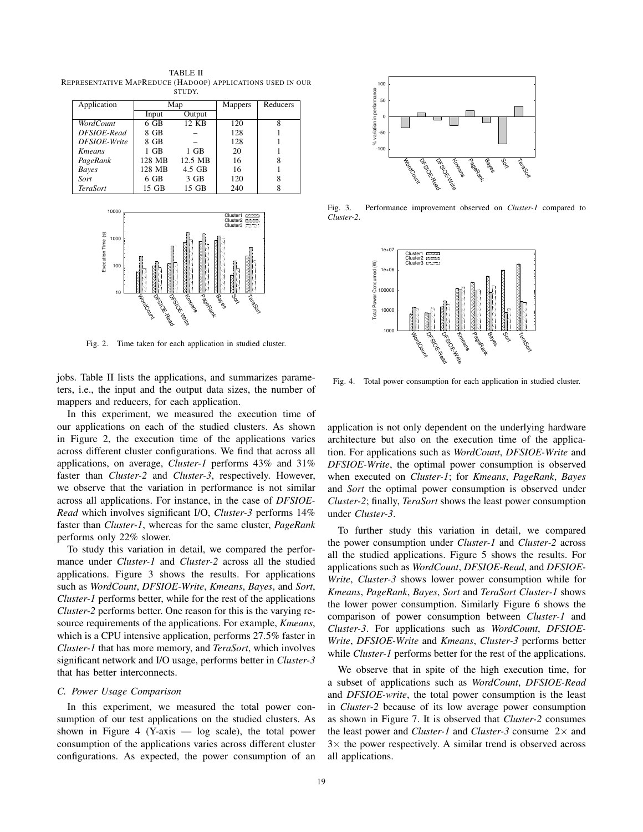TABLE II REPRESENTATIVE MAPREDUCE (HADOOP) APPLICATIONS USED IN OUR STUDY.

| Application           | Map    |         | <b>Mappers</b> | Reducers |
|-----------------------|--------|---------|----------------|----------|
|                       | Input  | Output  |                |          |
| <b>WordCount</b>      | $6$ GB | 12 KB   | 120            | 8        |
| DFSIOE-Read           | 8 GB   |         | 128            |          |
| DFSIOE-Write          | 8 GB   |         | 128            |          |
| <b>K</b> <i>means</i> | 1 GB   | $1$ GB  | 20             |          |
| PageRank              | 128 MB | 12.5 MB | 16             | 8        |
| Bayes                 | 128 MB | 4.5 GB  | 16             |          |
| Sort                  | $6$ GB | 3 GB    | 120            | 8        |
| <b>TeraSort</b>       | 15 GB  | 15 GB   | 240            |          |



Fig. 2. Time taken for each application in studied cluster.

jobs. Table II lists the applications, and summarizes parameters, i.e., the input and the output data sizes, the number of mappers and reducers, for each application.

In this experiment, we measured the execution time of our applications on each of the studied clusters. As shown in Figure 2, the execution time of the applications varies across different cluster configurations. We find that across all applications, on average, *Cluster-1* performs 43% and 31% faster than *Cluster-2* and *Cluster-3*, respectively. However, we observe that the variation in performance is not similar across all applications. For instance, in the case of *DFSIOE-Read* which involves significant I/O, *Cluster-3* performs 14% faster than *Cluster-1*, whereas for the same cluster, *PageRank* performs only 22% slower.

To study this variation in detail, we compared the performance under *Cluster-1* and *Cluster-2* across all the studied applications. Figure 3 shows the results. For applications such as *WordCount*, *DFSIOE-Write*, *Kmeans*, *Bayes*, and *Sort*, *Cluster-1* performs better, while for the rest of the applications *Cluster-2* performs better. One reason for this is the varying resource requirements of the applications. For example, *Kmeans*, which is a CPU intensive application, performs 27.5% faster in *Cluster-1* that has more memory, and *TeraSort*, which involves significant network and I/O usage, performs better in *Cluster-3* that has better interconnects.

# *C. Power Usage Comparison*

In this experiment, we measured the total power consumption of our test applications on the studied clusters. As shown in Figure 4 (Y-axis  $-$  log scale), the total power consumption of the applications varies across different cluster configurations. As expected, the power consumption of an



Fig. 3. Performance improvement observed on *Cluster-1* compared to *Cluster-2*.



Fig. 4. Total power consumption for each application in studied cluster.

application is not only dependent on the underlying hardware architecture but also on the execution time of the application. For applications such as *WordCount*, *DFSIOE-Write* and *DFSIOE-Write*, the optimal power consumption is observed when executed on *Cluster-1*; for *Kmeans*, *PageRank*, *Bayes* and *Sort* the optimal power consumption is observed under *Cluster-2*; finally, *TeraSort* shows the least power consumption under *Cluster-3*.

To further study this variation in detail, we compared the power consumption under *Cluster-1* and *Cluster-2* across all the studied applications. Figure 5 shows the results. For applications such as *WordCount*, *DFSIOE-Read*, and *DFSIOE-Write*, *Cluster-3* shows lower power consumption while for *Kmeans*, *PageRank*, *Bayes*, *Sort* and *TeraSort Cluster-1* shows the lower power consumption. Similarly Figure 6 shows the comparison of power consumption between *Cluster-1* and *Cluster-3*. For applications such as *WordCount*, *DFSIOE-Write*, *DFSIOE-Write* and *Kmeans*, *Cluster-3* performs better while *Cluster-1* performs better for the rest of the applications.

We observe that in spite of the high execution time, for a subset of applications such as *WordCount*, *DFSIOE-Read* and *DFSIOE-write*, the total power consumption is the least in *Cluster-2* because of its low average power consumption as shown in Figure 7. It is observed that *Cluster-2* consumes the least power and *Cluster-1* and *Cluster-3* consume  $2 \times$  and  $3\times$  the power respectively. A similar trend is observed across all applications.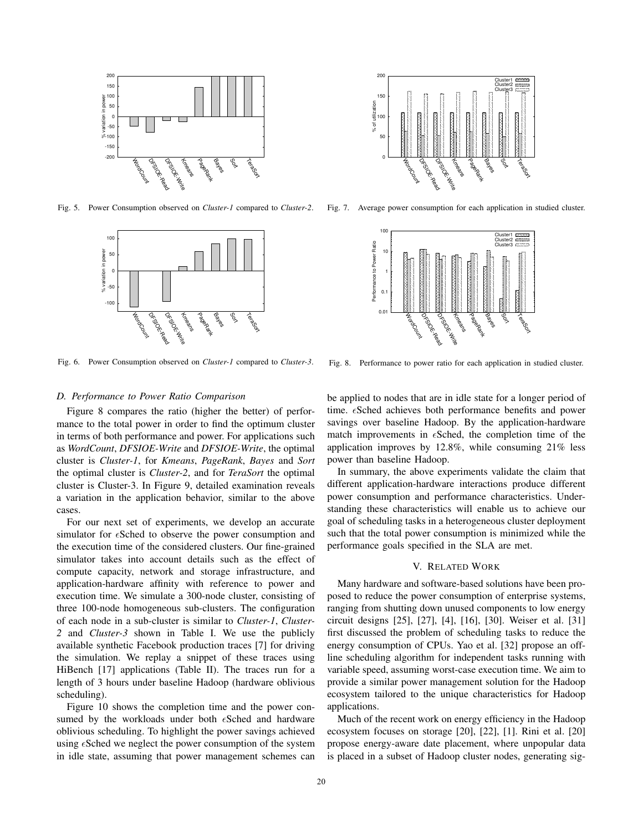

Fig. 5. Power Consumption observed on *Cluster-1* compared to *Cluster-2*.



Fig. 6. Power Consumption observed on *Cluster-1* compared to *Cluster-3*.



Fig. 7. Average power consumption for each application in studied cluster.



Fig. 8. Performance to power ratio for each application in studied cluster.

#### *D. Performance to Power Ratio Comparison*

Figure 8 compares the ratio (higher the better) of performance to the total power in order to find the optimum cluster in terms of both performance and power. For applications such as *WordCount*, *DFSIOE-Write* and *DFSIOE-Write*, the optimal cluster is *Cluster-1*, for *Kmeans*, *PageRank*, *Bayes* and *Sort* the optimal cluster is *Cluster-2*, and for *TeraSort* the optimal cluster is Cluster-3. In Figure 9, detailed examination reveals a variation in the application behavior, similar to the above cases.

For our next set of experiments, we develop an accurate simulator for  $\epsilon$ Sched to observe the power consumption and the execution time of the considered clusters. Our fine-grained simulator takes into account details such as the effect of compute capacity, network and storage infrastructure, and application-hardware affinity with reference to power and execution time. We simulate a 300-node cluster, consisting of three 100-node homogeneous sub-clusters. The configuration of each node in a sub-cluster is similar to *Cluster-1*, *Cluster-2* and *Cluster-3* shown in Table I. We use the publicly available synthetic Facebook production traces [7] for driving the simulation. We replay a snippet of these traces using HiBench [17] applications (Table II). The traces run for a length of 3 hours under baseline Hadoop (hardware oblivious scheduling).

Figure 10 shows the completion time and the power consumed by the workloads under both  $\epsilon$ Sched and hardware oblivious scheduling. To highlight the power savings achieved using  $\epsilon$ Sched we neglect the power consumption of the system in idle state, assuming that power management schemes can

be applied to nodes that are in idle state for a longer period of time.  $\epsilon$ Sched achieves both performance benefits and power savings over baseline Hadoop. By the application-hardware match improvements in  $\epsilon$ Sched, the completion time of the application improves by 12.8%, while consuming 21% less power than baseline Hadoop.

In summary, the above experiments validate the claim that different application-hardware interactions produce different power consumption and performance characteristics. Understanding these characteristics will enable us to achieve our goal of scheduling tasks in a heterogeneous cluster deployment such that the total power consumption is minimized while the performance goals specified in the SLA are met.

# V. RELATED WORK

Many hardware and software-based solutions have been proposed to reduce the power consumption of enterprise systems, ranging from shutting down unused components to low energy circuit designs [25], [27], [4], [16], [30]. Weiser et al. [31] first discussed the problem of scheduling tasks to reduce the energy consumption of CPUs. Yao et al. [32] propose an offline scheduling algorithm for independent tasks running with variable speed, assuming worst-case execution time. We aim to provide a similar power management solution for the Hadoop ecosystem tailored to the unique characteristics for Hadoop applications.

Much of the recent work on energy efficiency in the Hadoop ecosystem focuses on storage [20], [22], [1]. Rini et al. [20] propose energy-aware date placement, where unpopular data is placed in a subset of Hadoop cluster nodes, generating sig-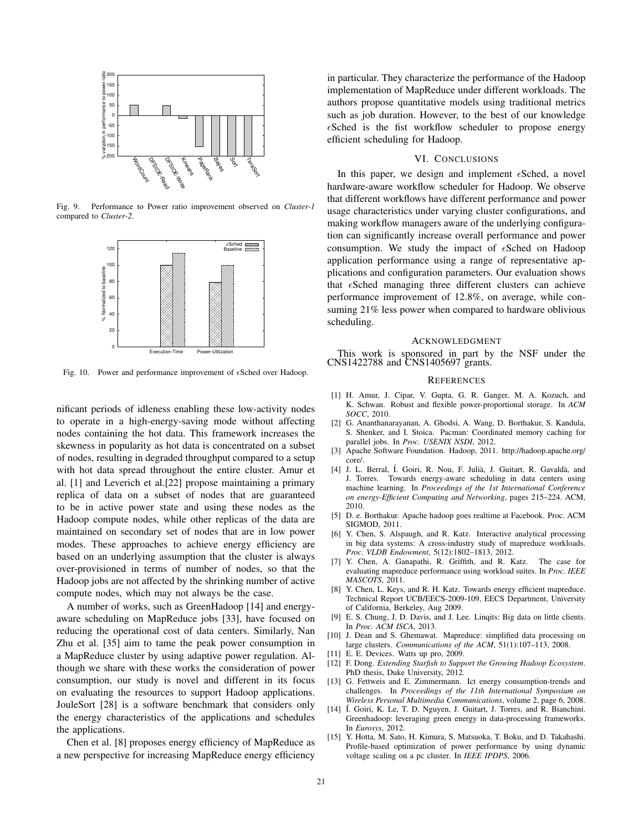

Fig. 9. Performance to Power ratio improvement observed on *Cluster-1* compared to *Cluster-2*.



Fig. 10. Power and performance improvement of  $\epsilon$ Sched over Hadoop.

nificant periods of idleness enabling these low-activity nodes to operate in a high-energy-saving mode without affecting nodes containing the hot data. This framework increases the skewness in popularity as hot data is concentrated on a subset of nodes, resulting in degraded throughput compared to a setup with hot data spread throughout the entire cluster. Amur et al. [1] and Leverich et al.[22] propose maintaining a primary replica of data on a subset of nodes that are guaranteed to be in active power state and using these nodes as the Hadoop compute nodes, while other replicas of the data are maintained on secondary set of nodes that are in low power modes. These approaches to achieve energy efficiency are based on an underlying assumption that the cluster is always over-provisioned in terms of number of nodes, so that the Hadoop jobs are not affected by the shrinking number of active compute nodes, which may not always be the case.

A number of works, such as GreenHadoop [14] and energyaware scheduling on MapReduce jobs [33], have focused on reducing the operational cost of data centers. Similarly, Nan Zhu et al. [35] aim to tame the peak power consumption in a MapReduce cluster by using adaptive power regulation. Although we share with these works the consideration of power consumption, our study is novel and different in its focus on evaluating the resources to support Hadoop applications. JouleSort [28] is a software benchmark that considers only the energy characteristics of the applications and schedules the applications.

Chen et al. [8] proposes energy efficiency of MapReduce as a new perspective for increasing MapReduce energy efficiency in particular. They characterize the performance of the Hadoop implementation of MapReduce under different workloads. The authors propose quantitative models using traditional metrics such as job duration. However, to the best of our knowledge  $\epsilon$ Sched is the fist workflow scheduler to propose energy efficient scheduling for Hadoop.

# VI. CONCLUSIONS

In this paper, we design and implement  $\epsilon$ Sched, a novel hardware-aware workflow scheduler for Hadoop. We observe that different workflows have different performance and power usage characteristics under varying cluster configurations, and making workflow managers aware of the underlying configuration can significantly increase overall performance and power consumption. We study the impact of  $\epsilon$ Sched on Hadoop application performance using a range of representative applications and configuration parameters. Our evaluation shows that  $\epsilon$ Sched managing three different clusters can achieve performance improvement of 12.8%, on average, while consuming 21% less power when compared to hardware oblivious scheduling.

#### ACKNOWLEDGMENT

This work is sponsored in part by the NSF under the CNS1422788 and CNS1405697 grants.

#### **REFERENCES**

- [1] H. Amur, J. Cipar, V. Gupta, G. R. Ganger, M. A. Kozuch, and K. Schwan. Robust and flexible power-proportional storage. In *ACM SOCC*, 2010.
- [2] G. Ananthanarayanan, A. Ghodsi, A. Wang, D. Borthakur, S. Kandula, S. Shenker, and I. Stoica. Pacman: Coordinated memory caching for parallel jobs. In *Proc. USENIX NSDI*, 2012.
- [3] Apache Software Foundation. Hadoop, 2011. http://hadoop.apache.org/ core/.
- [4] J. L. Berral, Í. Goiri, R. Nou, F. Julià, J. Guitart, R. Gavaldà, and J. Torres. Towards energy-aware scheduling in data centers using machine learning. In *Proceedings of the 1st International Conference on energy-Efficient Computing and Networking*, pages 215–224. ACM, 2010.
- [5] D. e. Borthakur. Apache hadoop goes realtime at Facebook. Proc. ACM SIGMOD, 2011.
- [6] Y. Chen, S. Alspaugh, and R. Katz. Interactive analytical processing in big data systems: A cross-industry study of mapreduce workloads. *Proc. VLDB Endowment*, 5(12):1802–1813, 2012.
- [7] Y. Chen, A. Ganapathi, R. Griffith, and R. Katz. The case for evaluating mapreduce performance using workload suites. In *Proc. IEEE MASCOTS*, 2011.
- [8] Y. Chen, L. Keys, and R. H. Katz. Towards energy efficient mapreduce. Technical Report UCB/EECS-2009-109, EECS Department, University of California, Berkeley, Aug 2009.
- [9] E. S. Chung, J. D. Davis, and J. Lee. Linqits: Big data on little clients. In *Proc. ACM ISCA*, 2013.
- [10] J. Dean and S. Ghemawat. Mapreduce: simplified data processing on large clusters. *Communications of the ACM*, 51(1):107–113, 2008.
- [11] E. E. Devices. Watts up pro, 2009.
- [12] F. Dong. *Extending Starfish to Support the Growing Hadoop Ecosystem*. PhD thesis, Duke University, 2012.
- [13] G. Fettweis and E. Zimmermann. Ict energy consumption-trends and challenges. In *Proceedings of the 11th International Symposium on Wireless Personal Multimedia Communications*, volume 2, page 6, 2008.
- [14] Í. Goiri, K. Le, T. D. Nguyen, J. Guitart, J. Torres, and R. Bianchini. Greenhadoop: leveraging green energy in data-processing frameworks. In *Eurosys*, 2012.
- [15] Y. Hotta, M. Sato, H. Kimura, S. Matsuoka, T. Boku, and D. Takahashi. Profile-based optimization of power performance by using dynamic voltage scaling on a pc cluster. In *IEEE IPDPS*, 2006.